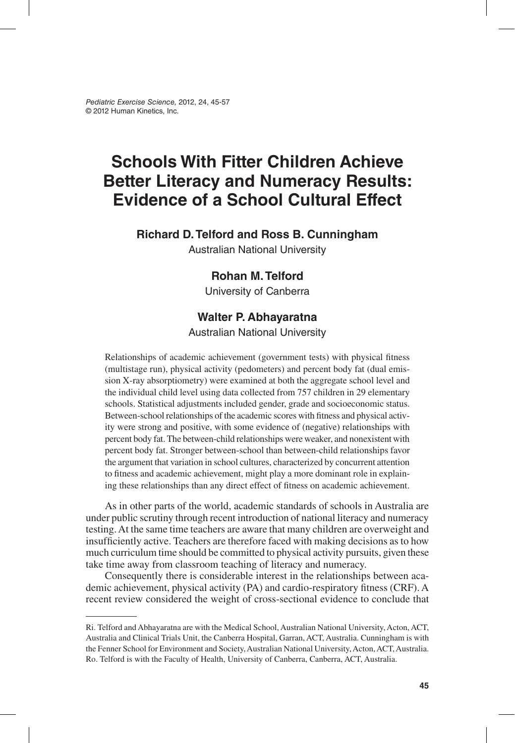# **Schools With Fitter Children Achieve Better Literacy and Numeracy Results: Evidence of a School Cultural Effect**

**Richard D. Telford and Ross B. Cunningham**

Australian National University

## **Rohan M. Telford**

University of Canberra

## **Walter P. Abhayaratna**

Australian National University

Relationships of academic achievement (government tests) with physical fitness (multistage run), physical activity (pedometers) and percent body fat (dual emission X-ray absorptiometry) were examined at both the aggregate school level and the individual child level using data collected from 757 children in 29 elementary schools. Statistical adjustments included gender, grade and socioeconomic status. Between-school relationships of the academic scores with fitness and physical activity were strong and positive, with some evidence of (negative) relationships with percent body fat. The between-child relationships were weaker, and nonexistent with percent body fat. Stronger between-school than between-child relationships favor the argument that variation in school cultures, characterized by concurrent attention to fitness and academic achievement, might play a more dominant role in explaining these relationships than any direct effect of fitness on academic achievement.

As in other parts of the world, academic standards of schools in Australia are under public scrutiny through recent introduction of national literacy and numeracy testing. At the same time teachers are aware that many children are overweight and insufficiently active. Teachers are therefore faced with making decisions as to how much curriculum time should be committed to physical activity pursuits, given these take time away from classroom teaching of literacy and numeracy.

Consequently there is considerable interest in the relationships between academic achievement, physical activity (PA) and cardio-respiratory fitness (CRF). A recent review considered the weight of cross-sectional evidence to conclude that

Ri. Telford and Abhayaratna are with the Medical School, Australian National University, Acton, ACT, Australia and Clinical Trials Unit, the Canberra Hospital, Garran, ACT, Australia. Cunningham is with the Fenner School for Environment and Society, Australian National University, Acton, ACT, Australia. Ro. Telford is with the Faculty of Health, University of Canberra, Canberra, ACT, Australia.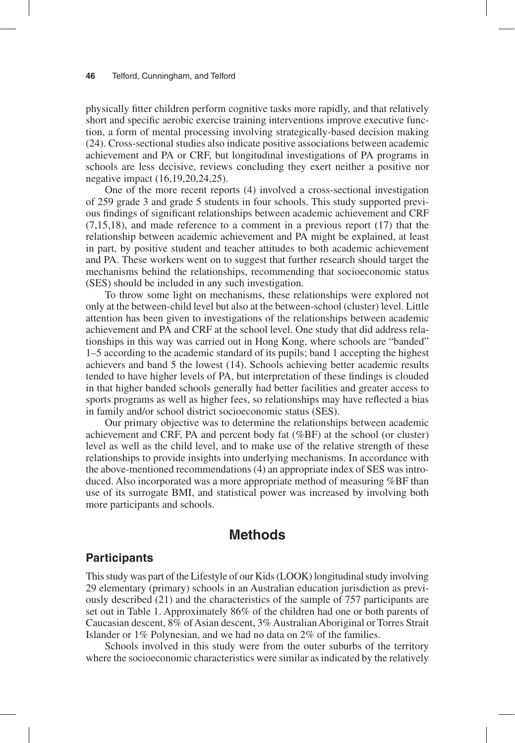physically fitter children perform cognitive tasks more rapidly, and that relatively short and specific aerobic exercise training interventions improve executive function, a form of mental processing involving strategically-based decision making (24). Cross-sectional studies also indicate positive associations between academic achievement and PA or CRF, but longitudinal investigations of PA programs in schools are less decisive, reviews concluding they exert neither a positive nor negative impact (16,19,20,24,25).

One of the more recent reports (4) involved a cross-sectional investigation of 259 grade 3 and grade 5 students in four schools. This study supported previous findings of significant relationships between academic achievement and CRF (7,15,18), and made reference to a comment in a previous report (17) that the relationship between academic achievement and PA might be explained, at least in part, by positive student and teacher attitudes to both academic achievement and PA. These workers went on to suggest that further research should target the mechanisms behind the relationships, recommending that socioeconomic status (SES) should be included in any such investigation.

To throw some light on mechanisms, these relationships were explored not only at the between-child level but also at the between-school (cluster) level. Little attention has been given to investigations of the relationships between academic achievement and PA and CRF at the school level. One study that did address relationships in this way was carried out in Hong Kong, where schools are "banded" 1–5 according to the academic standard of its pupils; band 1 accepting the highest achievers and band 5 the lowest (14). Schools achieving better academic results tended to have higher levels of PA, but interpretation of these findings is clouded in that higher banded schools generally had better facilities and greater access to sports programs as well as higher fees, so relationships may have reflected a bias in family and/or school district socioeconomic status (SES).

Our primary objective was to determine the relationships between academic achievement and CRF, PA and percent body fat (%BF) at the school (or cluster) level as well as the child level, and to make use of the relative strength of these relationships to provide insights into underlying mechanisms. In accordance with the above-mentioned recommendations (4) an appropriate index of SES was introduced. Also incorporated was a more appropriate method of measuring %BF than use of its surrogate BMI, and statistical power was increased by involving both more participants and schools.

# **Methods**

#### **Participants**

This study was part of the Lifestyle of our Kids (LOOK) longitudinal study involving 29 elementary (primary) schools in an Australian education jurisdiction as previously described (21) and the characteristics of the sample of 757 participants are set out in Table 1. Approximately 86% of the children had one or both parents of Caucasian descent, 8% of Asian descent, 3% Australian Aboriginal or Torres Strait Islander or 1% Polynesian, and we had no data on 2% of the families.

Schools involved in this study were from the outer suburbs of the territory where the socioeconomic characteristics were similar as indicated by the relatively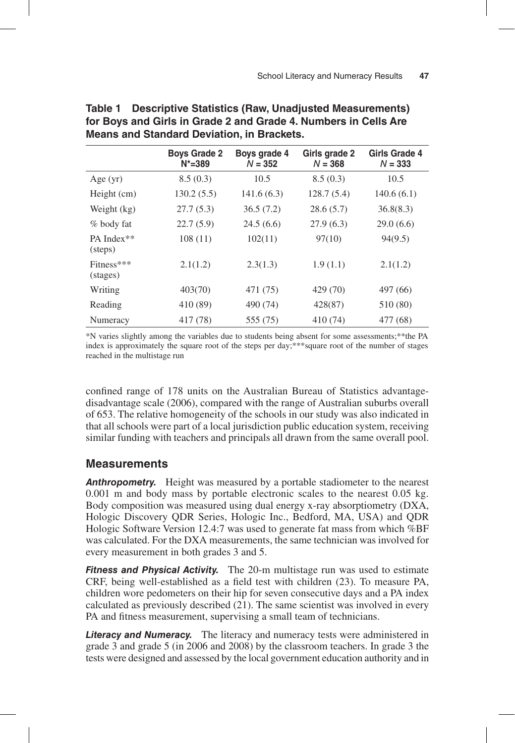|                        | <b>Boys Grade 2</b><br>$N^* = 389$ | Boys grade 4<br>$N = 352$ | Girls grade 2<br>$N = 368$ | Girls Grade 4<br>$N = 333$ |
|------------------------|------------------------------------|---------------------------|----------------------------|----------------------------|
| Age $(yr)$             | 8.5(0.3)                           | 10.5                      | 8.5(0.3)                   | 10.5                       |
| Height (cm)            | 130.2(5.5)                         | 141.6(6.3)                | 128.7(5.4)                 | 140.6(6.1)                 |
| Weight (kg)            | 27.7(5.3)                          | 36.5(7.2)                 | 28.6(5.7)                  | 36.8(8.3)                  |
| % body fat             | 22.7(5.9)                          | 24.5(6.6)                 | 27.9(6.3)                  | 29.0(6.6)                  |
| PA Index**<br>(steps)  | 108(11)                            | 102(11)                   | 97(10)                     | 94(9.5)                    |
| Fitness***<br>(stages) | 2.1(1.2)                           | 2.3(1.3)                  | 1.9(1.1)                   | 2.1(1.2)                   |
| Writing                | 403(70)                            | 471 (75)                  | 429 (70)                   | 497 (66)                   |
| Reading                | 410 (89)                           | 490 (74)                  | 428(87)                    | 510 (80)                   |
| Numeracy               | 417 (78)                           | 555 (75)                  | 410 (74)                   | 477 (68)                   |

**Table 1 Descriptive Statistics (Raw, Unadjusted Measurements) for Boys and Girls in Grade 2 and Grade 4. Numbers in Cells Are Means and Standard Deviation, in Brackets.**

\*N varies slightly among the variables due to students being absent for some assessments;\*\*the PA index is approximately the square root of the steps per day;\*\*\*square root of the number of stages reached in the multistage run

confined range of 178 units on the Australian Bureau of Statistics advantagedisadvantage scale (2006), compared with the range of Australian suburbs overall of 653. The relative homogeneity of the schools in our study was also indicated in that all schools were part of a local jurisdiction public education system, receiving similar funding with teachers and principals all drawn from the same overall pool.

## **Measurements**

**Anthropometry.** Height was measured by a portable stadiometer to the nearest 0.001 m and body mass by portable electronic scales to the nearest 0.05 kg. Body composition was measured using dual energy x-ray absorptiometry (DXA, Hologic Discovery QDR Series, Hologic Inc., Bedford, MA, USA) and QDR Hologic Software Version 12.4:7 was used to generate fat mass from which %BF was calculated. For the DXA measurements, the same technician was involved for every measurement in both grades 3 and 5.

*Fitness and Physical Activity.*  The 20-m multistage run was used to estimate CRF, being well-established as a field test with children (23). To measure PA, children wore pedometers on their hip for seven consecutive days and a PA index calculated as previously described (21). The same scientist was involved in every PA and fitness measurement, supervising a small team of technicians.

*Literacy and Numeracy.*  The literacy and numeracy tests were administered in grade 3 and grade 5 (in 2006 and 2008) by the classroom teachers. In grade 3 the tests were designed and assessed by the local government education authority and in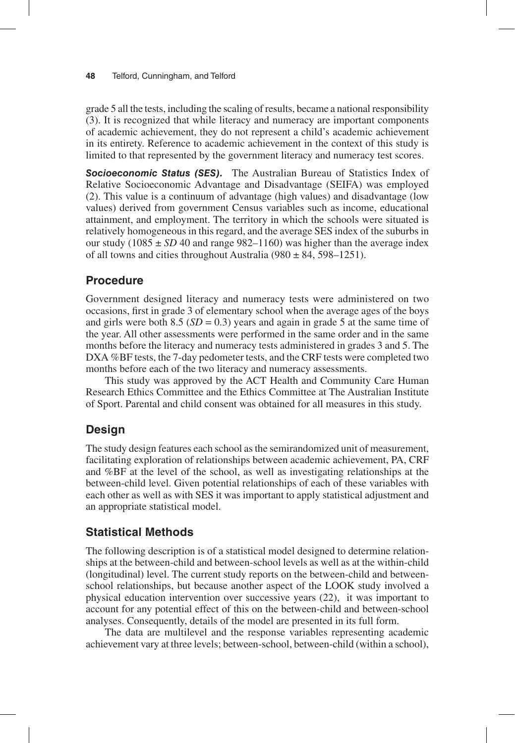grade 5 all the tests, including the scaling of results, became a national responsibility (3). It is recognized that while literacy and numeracy are important components of academic achievement, they do not represent a child's academic achievement in its entirety. Reference to academic achievement in the context of this study is limited to that represented by the government literacy and numeracy test scores.

*Socioeconomic Status (SES).*  The Australian Bureau of Statistics Index of Relative Socioeconomic Advantage and Disadvantage (SEIFA) was employed (2). This value is a continuum of advantage (high values) and disadvantage (low values) derived from government Census variables such as income, educational attainment, and employment. The territory in which the schools were situated is relatively homogeneous in this regard, and the average SES index of the suburbs in our study ( $1085 \pm SD$  40 and range 982–1160) was higher than the average index of all towns and cities throughout Australia ( $980 \pm 84$ ,  $598-1251$ ).

## **Procedure**

Government designed literacy and numeracy tests were administered on two occasions, first in grade 3 of elementary school when the average ages of the boys and girls were both 8.5 ( $SD = 0.3$ ) years and again in grade 5 at the same time of the year. All other assessments were performed in the same order and in the same months before the literacy and numeracy tests administered in grades 3 and 5. The DXA %BF tests, the 7-day pedometer tests, and the CRF tests were completed two months before each of the two literacy and numeracy assessments.

This study was approved by the ACT Health and Community Care Human Research Ethics Committee and the Ethics Committee at The Australian Institute of Sport. Parental and child consent was obtained for all measures in this study.

# **Design**

The study design features each school as the semirandomized unit of measurement, facilitating exploration of relationships between academic achievement, PA, CRF and %BF at the level of the school, as well as investigating relationships at the between-child level. Given potential relationships of each of these variables with each other as well as with SES it was important to apply statistical adjustment and an appropriate statistical model.

# **Statistical Methods**

The following description is of a statistical model designed to determine relationships at the between-child and between-school levels as well as at the within-child (longitudinal) level. The current study reports on the between-child and betweenschool relationships, but because another aspect of the LOOK study involved a physical education intervention over successive years (22), it was important to account for any potential effect of this on the between-child and between-school analyses. Consequently, details of the model are presented in its full form.

The data are multilevel and the response variables representing academic achievement vary at three levels; between-school, between-child (within a school),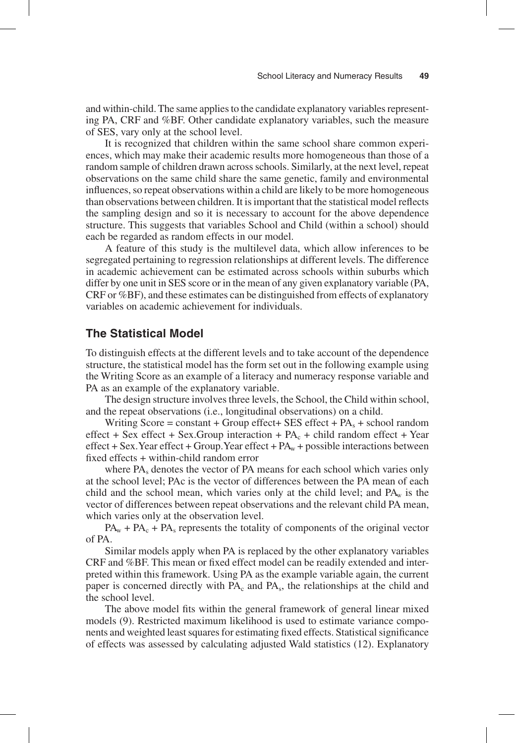and within-child. The same applies to the candidate explanatory variables representing PA, CRF and %BF. Other candidate explanatory variables, such the measure of SES, vary only at the school level.

It is recognized that children within the same school share common experiences, which may make their academic results more homogeneous than those of a random sample of children drawn across schools. Similarly, at the next level, repeat observations on the same child share the same genetic, family and environmental influences, so repeat observations within a child are likely to be more homogeneous than observations between children. It is important that the statistical model reflects the sampling design and so it is necessary to account for the above dependence structure. This suggests that variables School and Child (within a school) should each be regarded as random effects in our model.

A feature of this study is the multilevel data, which allow inferences to be segregated pertaining to regression relationships at different levels. The difference in academic achievement can be estimated across schools within suburbs which differ by one unit in SES score or in the mean of any given explanatory variable (PA, CRF or %BF), and these estimates can be distinguished from effects of explanatory variables on academic achievement for individuals.

#### **The Statistical Model**

To distinguish effects at the different levels and to take account of the dependence structure, the statistical model has the form set out in the following example using the Writing Score as an example of a literacy and numeracy response variable and PA as an example of the explanatory variable.

The design structure involves three levels, the School, the Child within school, and the repeat observations (i.e., longitudinal observations) on a child.

Writing Score = constant + Group effect + SES effect +  $PA_s$  + school random effect + Sex effect + Sex.Group interaction +  $PA_c$  + child random effect + Year effect + Sex. Year effect + Group. Year effect +  $PA_w$  + possible interactions between fixed effects + within-child random error

where PA<sub>s</sub> denotes the vector of PA means for each school which varies only at the school level; PAc is the vector of differences between the PA mean of each child and the school mean, which varies only at the child level; and  $PA_w$  is the vector of differences between repeat observations and the relevant child PA mean, which varies only at the observation level.

 $PA_w + PA_c + PA_s$  represents the totality of components of the original vector of PA.

Similar models apply when PA is replaced by the other explanatory variables CRF and %BF. This mean or fixed effect model can be readily extended and interpreted within this framework. Using PA as the example variable again, the current paper is concerned directly with  $PA<sub>c</sub>$  and  $PA<sub>s</sub>$ , the relationships at the child and the school level.

The above model fits within the general framework of general linear mixed models (9). Restricted maximum likelihood is used to estimate variance components and weighted least squares for estimating fixed effects. Statistical significance of effects was assessed by calculating adjusted Wald statistics (12). Explanatory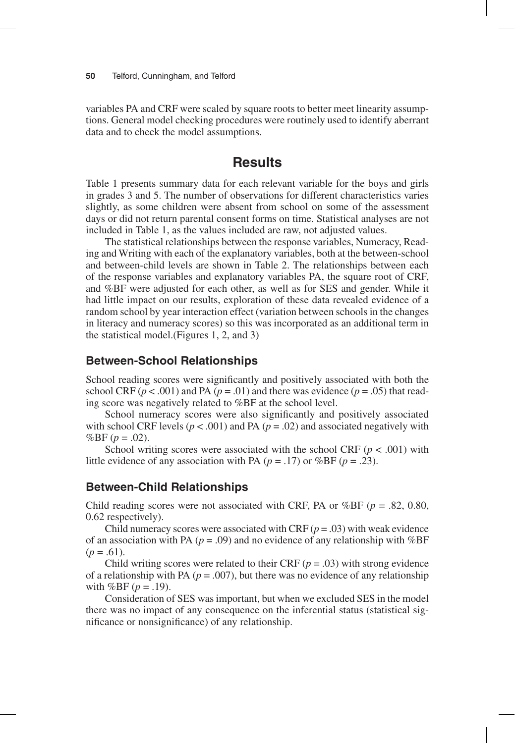variables PA and CRF were scaled by square roots to better meet linearity assumptions. General model checking procedures were routinely used to identify aberrant data and to check the model assumptions.

# **Results**

Table 1 presents summary data for each relevant variable for the boys and girls in grades 3 and 5. The number of observations for different characteristics varies slightly, as some children were absent from school on some of the assessment days or did not return parental consent forms on time. Statistical analyses are not included in Table 1, as the values included are raw, not adjusted values.

The statistical relationships between the response variables, Numeracy, Reading and Writing with each of the explanatory variables, both at the between-school and between-child levels are shown in Table 2. The relationships between each of the response variables and explanatory variables PA, the square root of CRF, and %BF were adjusted for each other, as well as for SES and gender. While it had little impact on our results, exploration of these data revealed evidence of a random school by year interaction effect (variation between schools in the changes in literacy and numeracy scores) so this was incorporated as an additional term in the statistical model.(Figures 1, 2, and 3)

### **Between-School Relationships**

School reading scores were significantly and positively associated with both the school CRF ( $p < .001$ ) and PA ( $p = .01$ ) and there was evidence ( $p = .05$ ) that reading score was negatively related to %BF at the school level.

School numeracy scores were also significantly and positively associated with school CRF levels ( $p < .001$ ) and PA ( $p = .02$ ) and associated negatively with %BF  $(p=.02)$ .

School writing scores were associated with the school CRF ( $p < .001$ ) with little evidence of any association with PA  $(p = .17)$  or %BF  $(p = .23)$ .

### **Between-Child Relationships**

Child reading scores were not associated with CRF, PA or  $%BF (p = .82, 0.80, ...)$ 0.62 respectively).

Child numeracy scores were associated with CRF  $(p = .03)$  with weak evidence of an association with PA ( $p = .09$ ) and no evidence of any relationship with %BF  $(p=.61)$ .

Child writing scores were related to their CRF  $(p = .03)$  with strong evidence of a relationship with PA ( $p = .007$ ), but there was no evidence of any relationship with %BF  $(p = .19)$ .

Consideration of SES was important, but when we excluded SES in the model there was no impact of any consequence on the inferential status (statistical significance or nonsignificance) of any relationship.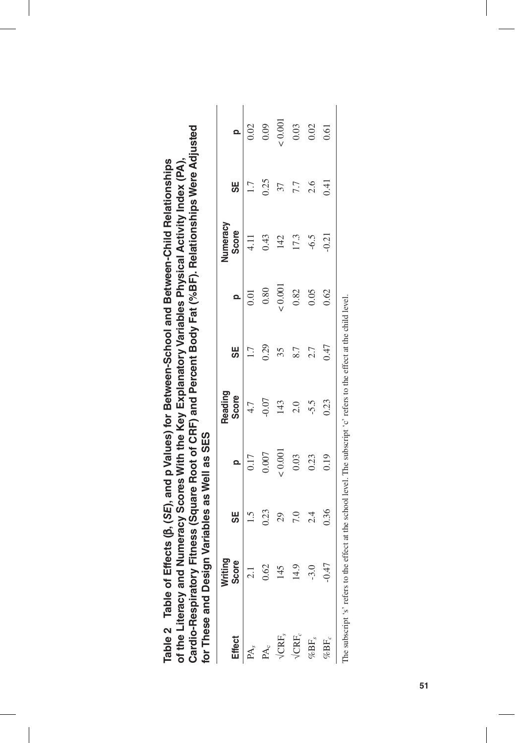|                       | Writing        |      |        | Reading |      |         | Jumeracy     |      |                                                 |
|-----------------------|----------------|------|--------|---------|------|---------|--------------|------|-------------------------------------------------|
| Effect                | core<br>တိ     | 59   | Q      | Score   | 59   | Q       | <b>Score</b> | 56   | Q                                               |
| PA,                   | $\overline{a}$ | 1.5  | 0.17   | 4.7     | 1.7  | 0.01    | 4.11         | 1.7  | 0.02                                            |
| $PA_c$                | 0.62           | 0.23 | 0.007  | $-0.07$ | 0.29 | 0.80    | 0.43         | 0.25 | 0.09                                            |
| VCRF,                 | $\frac{45}{5}$ | 29   | 20.001 | 143     | 35   | (0.001) | 142          | 37   |                                                 |
| $\sqrt{\text{CRF}}_c$ | 4.9            | 7.0  | 0.03   | 2.0     | 8.7  | 0.82    | 17.3         | 7.7  | $\begin{array}{c} <\! 0.001\\ 0.03 \end{array}$ |
| %BF <sub>s</sub>      | $-3.0$         | 24   | 0.23   | $-5.5$  | 2.7  | 0.05    | $-6.5$       | 2.6  | 0.02                                            |
| $\%\mathrm{BF}_c$     | $\ddot{47}$    | 0.36 | 0.19   | 0.23    | 0.47 | 0.62    | $-0.21$      | 0.41 | 0.61                                            |

| Table 2 Table of Effects ( $\beta$ , (SE), and p Values) for Between-School and Between-Child Relationships | of the Literacy and Numeracy Scores With the Key Explanatory Variables Physical Activity Index (PA), | Cardio-Respiratory Fitness (Square Root of CRF) and Percent Body Fat (%BF). Relationships Were Adjusted | for These and Design Variables as Well as SES |
|-------------------------------------------------------------------------------------------------------------|------------------------------------------------------------------------------------------------------|---------------------------------------------------------------------------------------------------------|-----------------------------------------------|
|                                                                                                             |                                                                                                      |                                                                                                         |                                               |
|                                                                                                             |                                                                                                      |                                                                                                         |                                               |
|                                                                                                             |                                                                                                      |                                                                                                         |                                               |
|                                                                                                             |                                                                                                      |                                                                                                         |                                               |
|                                                                                                             |                                                                                                      |                                                                                                         |                                               |
|                                                                                                             |                                                                                                      |                                                                                                         |                                               |
|                                                                                                             |                                                                                                      |                                                                                                         |                                               |
|                                                                                                             |                                                                                                      |                                                                                                         |                                               |
|                                                                                                             |                                                                                                      |                                                                                                         |                                               |
|                                                                                                             |                                                                                                      |                                                                                                         |                                               |
|                                                                                                             |                                                                                                      |                                                                                                         |                                               |
|                                                                                                             |                                                                                                      |                                                                                                         |                                               |
|                                                                                                             |                                                                                                      |                                                                                                         |                                               |
|                                                                                                             |                                                                                                      |                                                                                                         |                                               |
|                                                                                                             |                                                                                                      |                                                                                                         |                                               |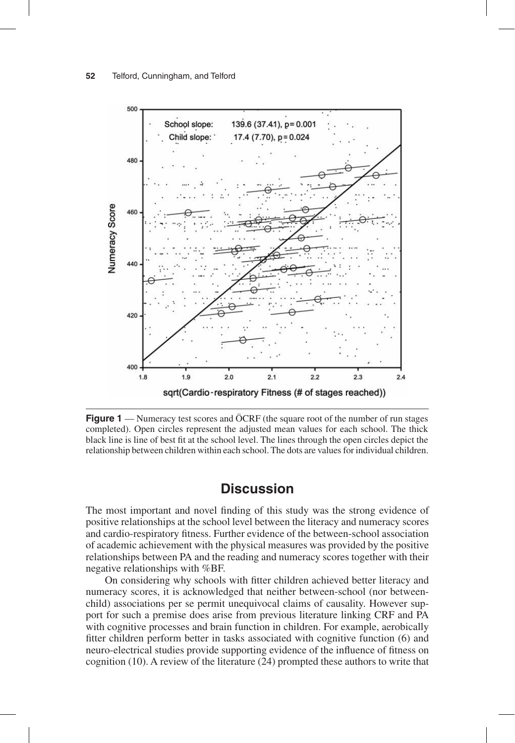

**Figure 1** — Numeracy test scores and ÖCRF (the square root of the number of run stages completed). Open circles represent the adjusted mean values for each school. The thick black line is line of best fit at the school level. The lines through the open circles depict the relationship between children within each school. The dots are values for individual children.

# **Discussion**

The most important and novel finding of this study was the strong evidence of positive relationships at the school level between the literacy and numeracy scores and cardio-respiratory fitness. Further evidence of the between-school association of academic achievement with the physical measures was provided by the positive relationships between PA and the reading and numeracy scores together with their negative relationships with %BF.

On considering why schools with fitter children achieved better literacy and numeracy scores, it is acknowledged that neither between-school (nor betweenchild) associations per se permit unequivocal claims of causality. However support for such a premise does arise from previous literature linking CRF and PA with cognitive processes and brain function in children. For example, aerobically fitter children perform better in tasks associated with cognitive function (6) and neuro-electrical studies provide supporting evidence of the influence of fitness on cognition (10). A review of the literature (24) prompted these authors to write that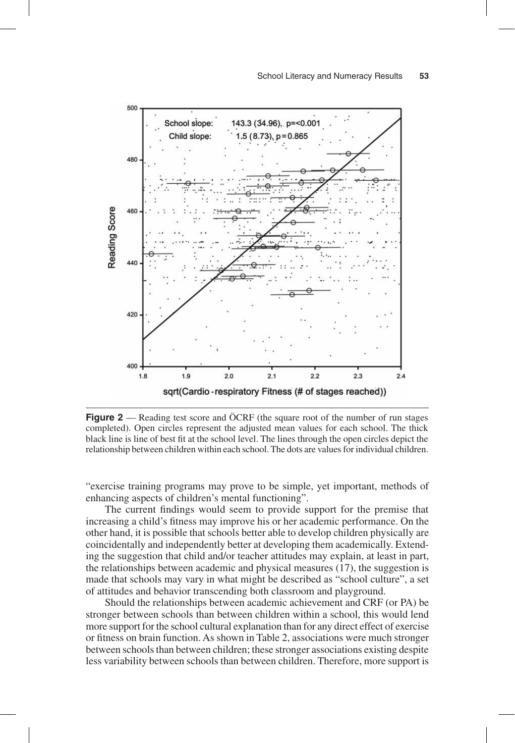

**Figure 2** — Reading test score and ÖCRF (the square root of the number of run stages completed). Open circles represent the adjusted mean values for each school. The thick black line is line of best fit at the school level. The lines through the open circles depict the relationship between children within each school. The dots are values for individual children.

"exercise training programs may prove to be simple, yet important, methods of enhancing aspects of children's mental functioning".

The current findings would seem to provide support for the premise that increasing a child's fitness may improve his or her academic performance. On the other hand, it is possible that schools better able to develop children physically are coincidentally and independently better at developing them academically. Extending the suggestion that child and/or teacher attitudes may explain, at least in part, the relationships between academic and physical measures (17), the suggestion is made that schools may vary in what might be described as "school culture", a set of attitudes and behavior transcending both classroom and playground.

Should the relationships between academic achievement and CRF (or PA) be stronger between schools than between children within a school, this would lend more support for the school cultural explanation than for any direct effect of exercise or fitness on brain function. As shown in Table 2, associations were much stronger between schools than between children; these stronger associations existing despite less variability between schools than between children. Therefore, more support is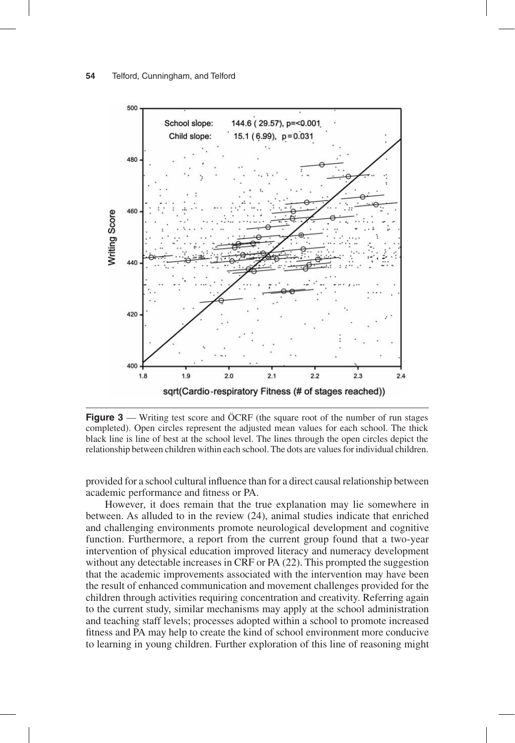

**Figure 3** — Writing test score and ÖCRF (the square root of the number of run stages completed). Open circles represent the adjusted mean values for each school. The thick black line is line of best at the school level. The lines through the open circles depict the relationship between children within each school. The dots are values for individual children.

provided for a school cultural influence than for a direct causal relationship between academic performance and fitness or PA.

However, it does remain that the true explanation may lie somewhere in between. As alluded to in the review (24), animal studies indicate that enriched and challenging environments promote neurological development and cognitive function. Furthermore, a report from the current group found that a two-year intervention of physical education improved literacy and numeracy development without any detectable increases in CRF or PA (22). This prompted the suggestion that the academic improvements associated with the intervention may have been the result of enhanced communication and movement challenges provided for the children through activities requiring concentration and creativity. Referring again to the current study, similar mechanisms may apply at the school administration and teaching staff levels; processes adopted within a school to promote increased fitness and PA may help to create the kind of school environment more conducive to learning in young children. Further exploration of this line of reasoning might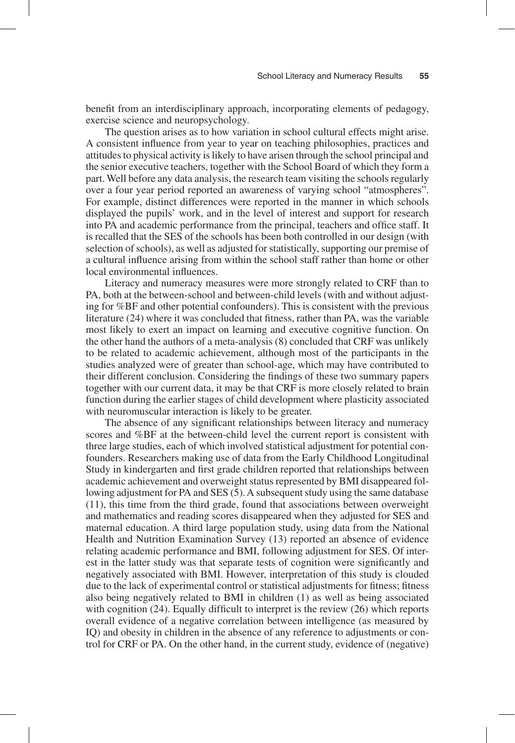benefit from an interdisciplinary approach, incorporating elements of pedagogy, exercise science and neuropsychology.

The question arises as to how variation in school cultural effects might arise. A consistent influence from year to year on teaching philosophies, practices and attitudes to physical activity is likely to have arisen through the school principal and the senior executive teachers, together with the School Board of which they form a part. Well before any data analysis, the research team visiting the schools regularly over a four year period reported an awareness of varying school "atmospheres". For example, distinct differences were reported in the manner in which schools displayed the pupils' work, and in the level of interest and support for research into PA and academic performance from the principal, teachers and office staff. It is recalled that the SES of the schools has been both controlled in our design (with selection of schools), as well as adjusted for statistically, supporting our premise of a cultural influence arising from within the school staff rather than home or other local environmental influences.

Literacy and numeracy measures were more strongly related to CRF than to PA, both at the between-school and between-child levels (with and without adjusting for %BF and other potential confounders). This is consistent with the previous literature (24) where it was concluded that fitness, rather than PA, was the variable most likely to exert an impact on learning and executive cognitive function. On the other hand the authors of a meta-analysis (8) concluded that CRF was unlikely to be related to academic achievement, although most of the participants in the studies analyzed were of greater than school-age, which may have contributed to their different conclusion. Considering the findings of these two summary papers together with our current data, it may be that CRF is more closely related to brain function during the earlier stages of child development where plasticity associated with neuromuscular interaction is likely to be greater.

The absence of any significant relationships between literacy and numeracy scores and %BF at the between-child level the current report is consistent with three large studies, each of which involved statistical adjustment for potential confounders. Researchers making use of data from the Early Childhood Longitudinal Study in kindergarten and first grade children reported that relationships between academic achievement and overweight status represented by BMI disappeared following adjustment for PA and SES (5). A subsequent study using the same database (11), this time from the third grade, found that associations between overweight and mathematics and reading scores disappeared when they adjusted for SES and maternal education. A third large population study, using data from the National Health and Nutrition Examination Survey (13) reported an absence of evidence relating academic performance and BMI, following adjustment for SES. Of interest in the latter study was that separate tests of cognition were significantly and negatively associated with BMI. However, interpretation of this study is clouded due to the lack of experimental control or statistical adjustments for fitness; fitness also being negatively related to BMI in children (1) as well as being associated with cognition (24). Equally difficult to interpret is the review (26) which reports overall evidence of a negative correlation between intelligence (as measured by IQ) and obesity in children in the absence of any reference to adjustments or control for CRF or PA. On the other hand, in the current study, evidence of (negative)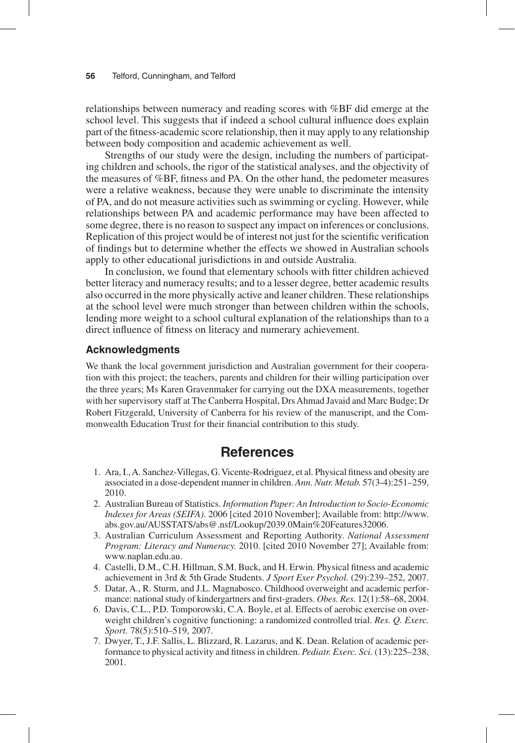relationships between numeracy and reading scores with %BF did emerge at the school level. This suggests that if indeed a school cultural influence does explain part of the fitness-academic score relationship, then it may apply to any relationship between body composition and academic achievement as well.

Strengths of our study were the design, including the numbers of participating children and schools, the rigor of the statistical analyses, and the objectivity of the measures of %BF, fitness and PA. On the other hand, the pedometer measures were a relative weakness, because they were unable to discriminate the intensity of PA, and do not measure activities such as swimming or cycling. However, while relationships between PA and academic performance may have been affected to some degree, there is no reason to suspect any impact on inferences or conclusions. Replication of this project would be of interest not just for the scientific verification of findings but to determine whether the effects we showed in Australian schools apply to other educational jurisdictions in and outside Australia.

In conclusion, we found that elementary schools with fitter children achieved better literacy and numeracy results; and to a lesser degree, better academic results also occurred in the more physically active and leaner children. These relationships at the school level were much stronger than between children within the schools, lending more weight to a school cultural explanation of the relationships than to a direct influence of fitness on literacy and numerary achievement.

#### **Acknowledgments**

We thank the local government jurisdiction and Australian government for their cooperation with this project; the teachers, parents and children for their willing participation over the three years; Ms Karen Gravenmaker for carrying out the DXA measurements, together with her supervisory staff at The Canberra Hospital, Drs Ahmad Javaid and Marc Budge; Dr Robert Fitzgerald, University of Canberra for his review of the manuscript, and the Commonwealth Education Trust for their financial contribution to this study.

# **References**

- 1. Ara, I., A. Sanchez-Villegas, G. Vicente-Rodriguez, et al. Physical fitness and obesity are associated in a dose-dependent manner in children. *Ann. Nutr. Metab.* 57(3-4):251–259, 2010.
- 2. Australian Bureau of Statistics. *Information Paper: An Introduction to Socio-Economic Indexes for Areas (SEIFA)*. 2006 [cited 2010 November]; Available from: http://www. abs.gov.au/AUSSTATS/abs@.nsf/Lookup/2039.0Main%20Features32006.
- 3. Australian Curriculum Assessment and Reporting Authority. *National Assessment Program: Literacy and Numeracy.* 2010. [cited 2010 November 27]; Available from: www.naplan.edu.au.
- 4. Castelli, D.M., C.H. Hillman, S.M. Buck, and H. Erwin. Physical fitness and academic achievement in 3rd & 5th Grade Students. *J Sport Exer Psychol.* (29):239–252, 2007.
- 5. Datar, A., R. Sturm, and J.L. Magnabosco. Childhood overweight and academic performance: national study of kindergartners and first-graders. *Obes. Res.* 12(1):58–68, 2004.
- 6. Davis, C.L., P.D. Tomporowski, C.A. Boyle, et al. Effects of aerobic exercise on overweight children's cognitive functioning: a randomized controlled trial. *Res. Q. Exerc. Sport.* 78(5):510–519, 2007.
- 7. Dwyer, T., J.F. Sallis, L. Blizzard, R. Lazarus, and K. Dean. Relation of academic performance to physical activity and fitness in children. *Pediatr. Exerc. Sci.* (13):225–238, 2001.